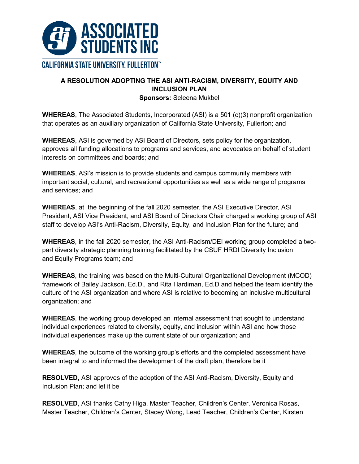

# **A RESOLUTION ADOPTING THE ASI ANTI-RACISM, DIVERSITY, EQUITY AND INCLUSION PLAN**

**Sponsors:** Seleena Mukbel

**WHEREAS**, The Associated Students, Incorporated (ASI) is a 501 (c)(3) nonprofit organization that operates as an auxiliary organization of California State University, Fullerton; and

**WHEREAS**, ASI is governed by ASI Board of Directors, sets policy for the organization, approves all funding allocations to programs and services, and advocates on behalf of student interests on committees and boards; and

**WHEREAS**, ASl's mission is to provide students and campus community members with important social, cultural, and recreational opportunities as well as a wide range of programs and services; and

**WHEREAS**, at the beginning of the fall 2020 semester, the ASI Executive Director, ASI President, ASI Vice President, and ASI Board of Directors Chair charged a working group of ASI staff to develop ASI's Anti-Racism, Diversity, Equity, and Inclusion Plan for the future; and

**WHEREAS**, in the fall 2020 semester, the ASI Anti-Racism/DEI working group completed a twopart diversity strategic planning training facilitated by the CSUF HRDI Diversity Inclusion and Equity Programs team; and

**WHEREAS**, the training was based on the Multi-Cultural Organizational Development (MCOD) framework of Bailey Jackson, Ed.D., and Rita Hardiman, Ed.D and helped the team identify the culture of the ASI organization and where ASI is relative to becoming an inclusive multicultural organization; and

**WHEREAS**, the working group developed an internal assessment that sought to understand individual experiences related to diversity, equity, and inclusion within ASI and how those individual experiences make up the current state of our organization; and

**WHEREAS**, the outcome of the working group's efforts and the completed assessment have been integral to and informed the development of the draft plan, therefore be it

**RESOLVED,** ASI approves of the adoption of the ASI Anti-Racism, Diversity, Equity and Inclusion Plan; and let it be

**RESOLVED**, ASI thanks Cathy Higa, Master Teacher, Children's Center, Veronica Rosas, Master Teacher, Children's Center, Stacey Wong, Lead Teacher, Children's Center, Kirsten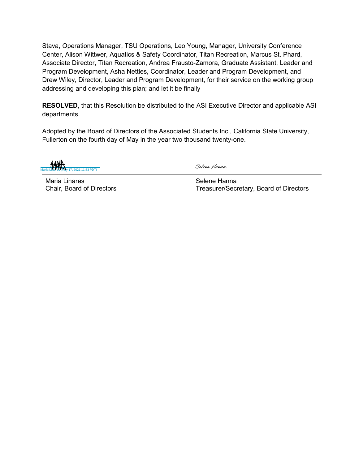Stava, Operations Manager, TSU Operations, Leo Young, Manager, University Conference Center, Alison Wittwer, Aquatics & Safety Coordinator, Titan Recreation, Marcus St. Phard, Associate Director, Titan Recreation, Andrea Frausto-Zamora, Graduate Assistant, Leader and Program Development, Asha Nettles, Coordinator, Leader and Program Development, and Drew Wiley, Director, Leader and Program Development, for their service on the working group addressing and developing this plan; and let it be finally

**RESOLVED**, that this Resolution be distributed to the ASI Executive Director and applicable ASI departments.

Adopted by the Board of Directors of the Associated Students Inc., California State University, Fullerton on the fourth day of May in the year two thousand twenty-one.

17, 2021 11:33 PDT)

Selene Hanna

Maria Linares Chair, Board of Directors Selene Hanna Treasurer/Secretary, Board of Directors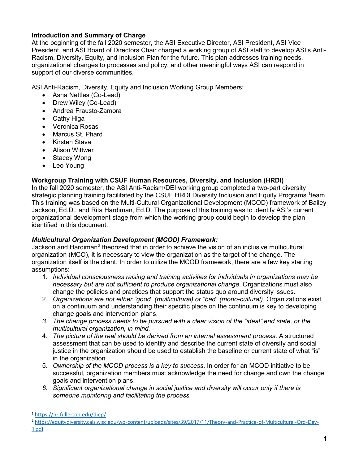## **Introduction and Summary of Charge**

At the beginning of the fall 2020 semester, the ASI Executive Director, ASI President, ASI Vice President, and ASI Board of Directors Chair charged a working group of ASI staff to develop ASI's Anti-Racism, Diversity, Equity, and Inclusion Plan for the future. This plan addresses training needs, organizational changes to processes and policy, and other meaningful ways ASI can respond in support of our diverse communities.

ASI Anti-Racism, Diversity, Equity and Inclusion Working Group Members:

- Asha Nettles (Co-Lead)
- Drew Wiley (Co-Lead)
- Andrea Frausto-Zamora
- Cathy Higa
- Veronica Rosas
- Marcus St. Phard
- Kirsten Stava
- Alison Wittwer
- Stacey Wong
- Leo Young

## **Workgroup Training with CSUF Human Resources, Diversity, and Inclusion (HRDI)**

In the fall 2020 semester, the ASI Anti-Racism/DEI working group completed a two-part diversity strategic planning training facilitated by the CSUF HRDI Diversity Inclusion and Equity Programs <sup>1</sup>team. This training was based on the Multi-Cultural Organizational Development (MCOD) framework of Bailey Jackson, Ed.D., and Rita Hardiman, Ed.D. The purpose of this training was to identify ASI's current organizational development stage from which the working group could begin to develop the plan identified in this document.

## *Multicultural Organization Development (MCOD) Framework:*

Jackson and Hardiman<sup>2</sup> theorized that in order to achieve the vision of an inclusive multicultural organization (MCO), it is necessary to view the organization as the target of the change. The organization itself is the client. In order to utilize the MCOD framework, there are a few key starting assumptions:

- 1. *Individual consciousness raising and training activities for individuals in organizations may be necessary but are not sufficient to produce organizational change*. Organizations must also change the policies and practices that support the status quo around diversity issues.
- 2. *Organizations are not either "good" (multicultural) or "bad" (mono-cultural)*. Organizations exist on a continuum and understanding their specific place on the continuum is key to developing change goals and intervention plans.
- *3. The change process needs to be pursued with a clear vision of the "ideal" end state, or the multicultural organization, in mind.*
- 4. *The picture of the real should be derived from an internal assessment process*. A structured assessment that can be used to identify and describe the current state of diversity and social justice in the organization should be used to establish the baseline or current state of what "is" in the organization.
- 5. *Ownership of the MCOD process is a key to success*. In order for an MCOD initiative to be successful, organization members must acknowledge the need for change and own the change goals and intervention plans.
- *6. Significant organizational change in social justice and diversity will occur only if there is someone monitoring and facilitating the process.*

 <sup>1</sup> <https://hr.fullerton.edu/diep/>

<sup>2</sup> [https://equitydiversity.cals.wisc.edu/wp-content/uploads/sites/39/2017/11/Theory-and-Practice-of-Multicultural-Org-Dev-](https://equitydiversity.cals.wisc.edu/wp-content/uploads/sites/39/2017/11/Theory-and-Practice-of-Multicultural-Org-Dev-1.pdf)[1.pdf](https://equitydiversity.cals.wisc.edu/wp-content/uploads/sites/39/2017/11/Theory-and-Practice-of-Multicultural-Org-Dev-1.pdf)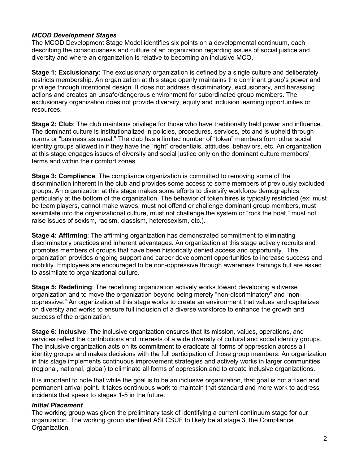#### *MCOD Development Stages*

The MCOD Development Stage Model identifies six points on a developmental continuum, each describing the consciousness and culture of an organization regarding issues of social justice and diversity and where an organization is relative to becoming an inclusive MCO.

**Stage 1: Exclusionary**: The exclusionary organization is defined by a single culture and deliberately restricts membership. An organization at this stage openly maintains the dominant group's power and privilege through intentional design. It does not address discriminatory, exclusionary, and harassing actions and creates an unsafe/dangerous environment for subordinated group members. The exclusionary organization does not provide diversity, equity and inclusion learning opportunities or resources.

**Stage 2: Club**: The club maintains privilege for those who have traditionally held power and influence. The dominant culture is institutionalized in policies, procedures, services, etc and is upheld through norms or "business as usual." The club has a limited number of "token" members from other social identity groups allowed in if they have the "right" credentials, attitudes, behaviors, etc. An organization at this stage engages issues of diversity and social justice only on the dominant culture members' terms and within their comfort zones.

**Stage 3: Compliance**: The compliance organization is committed to removing some of the discrimination inherent in the club and provides some access to some members of previously excluded groups. An organization at this stage makes some efforts to diversify workforce demographics, particularly at the bottom of the organization. The behavior of token hires is typically restricted (ex: must be team players, cannot make waves, must not offend or challenge dominant group members, must assimilate into the organizational culture, must not challenge the system or "rock the boat," must not raise issues of sexism, racism, classism, heterosexism, etc.).

**Stage 4: Affirming**: The affirming organization has demonstrated commitment to eliminating discriminatory practices and inherent advantages. An organization at this stage actively recruits and promotes members of groups that have been historically denied access and opportunity. The organization provides ongoing support and career development opportunities to increase success and mobility. Employees are encouraged to be non-oppressive through awareness trainings but are asked to assimilate to organizational culture.

**Stage 5: Redefining**: The redefining organization actively works toward developing a diverse organization and to move the organization beyond being merely "non-discriminatory" and "nonoppressive." An organization at this stage works to create an environment that values and capitalizes on diversity and works to ensure full inclusion of a diverse workforce to enhance the growth and success of the organization.

**Stage 6: Inclusive**: The inclusive organization ensures that its mission, values, operations, and services reflect the contributions and interests of a wide diversity of cultural and social identity groups. The inclusive organization acts on its commitment to eradicate all forms of oppression across all identity groups and makes decisions with the full participation of those group members. An organization in this stage implements continuous improvement strategies and actively works in larger communities (regional, national, global) to eliminate all forms of oppression and to create inclusive organizations.

It is important to note that while the goal is to be an inclusive organization, that goal is not a fixed and permanent arrival point. It takes continuous work to maintain that standard and more work to address incidents that speak to stages 1-5 in the future.

#### *Initial Placement*

The working group was given the preliminary task of identifying a current continuum stage for our organization. The working group identified ASI CSUF to likely be at stage 3, the Compliance Organization.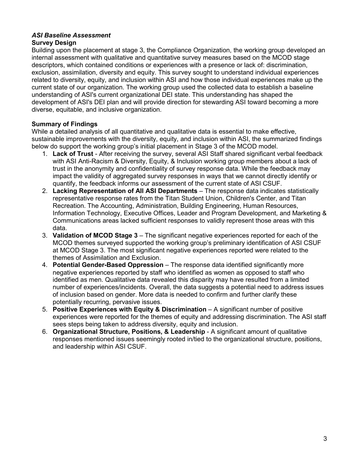#### *ASI Baseline Assessment* **Survey Design**

Building upon the placement at stage 3, the Compliance Organization, the working group developed an internal assessment with qualitative and quantitative survey measures based on the MCOD stage descriptors, which contained conditions or experiences with a presence or lack of: discrimination, exclusion, assimilation, diversity and equity. This survey sought to understand individual experiences related to diversity, equity, and inclusion within ASI and how those individual experiences make up the current state of our organization. The working group used the collected data to establish a baseline understanding of ASI's current organizational DEI state. This understanding has shaped the development of ASI's DEI plan and will provide direction for stewarding ASI toward becoming a more diverse, equitable, and inclusive organization.

# **Summary of Findings**

While a detailed analysis of all quantitative and qualitative data is essential to make effective, sustainable improvements with the diversity, equity, and inclusion within ASI, the summarized findings below do support the working group's initial placement in Stage 3 of the MCOD model.

- 1. **Lack of Trust** After receiving the survey, several ASI Staff shared significant verbal feedback with ASI Anti-Racism & Diversity, Equity, & Inclusion working group members about a lack of trust in the anonymity and confidentiality of survey response data. While the feedback may impact the validity of aggregated survey responses in ways that we cannot directly identify or quantify, the feedback informs our assessment of the current state of ASI CSUF.
- 2. **Lacking Representation of All ASI Departments** The response data indicates statistically representative response rates from the Titan Student Union, Children's Center, and Titan Recreation. The Accounting, Administration, Building Engineering, Human Resources, Information Technology, Executive Offices, Leader and Program Development, and Marketing & Communications areas lacked sufficient responses to validly represent those areas with this data.
- 3. **Validation of MCOD Stage 3** The significant negative experiences reported for each of the MCOD themes surveyed supported the working group's preliminary identification of ASI CSUF at MCOD Stage 3. The most significant negative experiences reported were related to the themes of Assimilation and Exclusion.
- 4. **Potential Gender-Based Oppression** The response data identified significantly more negative experiences reported by staff who identified as women as opposed to staff who identified as men. Qualitative data revealed this disparity may have resulted from a limited number of experiences/incidents. Overall, the data suggests a potential need to address issues of inclusion based on gender. More data is needed to confirm and further clarify these potentially recurring, pervasive issues.
- 5. **Positive Experiences with Equity & Discrimination** A significant number of positive experiences were reported for the themes of equity and addressing discrimination. The ASI staff sees steps being taken to address diversity, equity and inclusion.
- 6. **Organizational Structure, Positions, & Leadership** A significant amount of qualitative responses mentioned issues seemingly rooted in/tied to the organizational structure, positions, and leadership within ASI CSUF.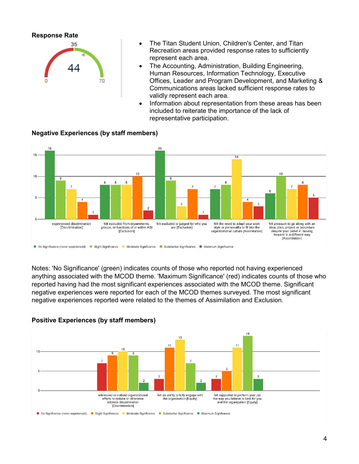

- The Titan Student Union, Children's Center, and Titan Recreation areas provided response rates to sufficiently represent each area.
- The Accounting, Administration, Building Engineering, Human Resources, Information Technology, Executive Offices, Leader and Program Development, and Marketing & Communications areas lacked sufficient response rates to validly represent each area.
- Information about representation from these areas has been included to reiterate the importance of the lack of representative participation.



**Negative Experiences (by staff members)** 

Notes: 'No Significance' (green) indicates counts of those who reported not having experienced anything associated with the MCOD theme. 'Maximum Significance' (red) indicates counts of those who reported having had the most significant experiences associated with the MCOD theme. Significant negative experiences were reported for each of the MCOD themes surveyed. The most significant negative experiences reported were related to the themes of Assimilation and Exclusion.



#### **Positive Experiences (by staff members)**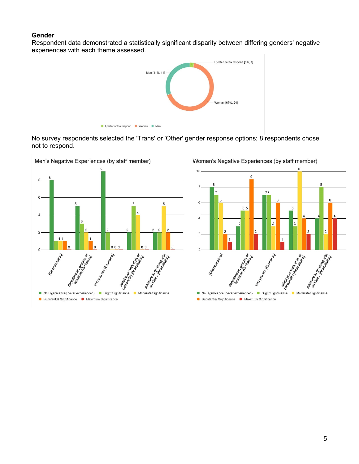#### **Gender**

Respondent data demonstrated a statistically significant disparity between differing genders' negative experiences with each theme assessed.



No survey respondents selected the 'Trans' or 'Other' gender response options; 8 respondents chose not to respond.

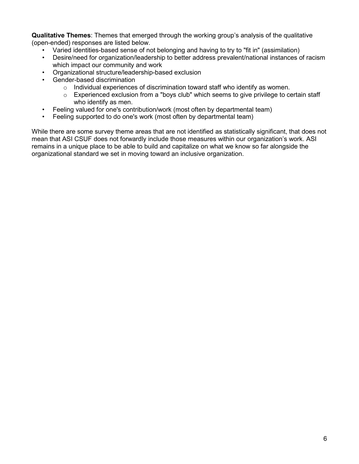**Qualitative Themes**: Themes that emerged through the working group's analysis of the qualitative (open-ended) responses are listed below.

- Varied identities-based sense of not belonging and having to try to "fit in" (assimilation)
- Desire/need for organization/leadership to better address prevalent/national instances of racism which impact our community and work
- Organizational structure/leadership-based exclusion
- Gender-based discrimination
	- o Individual experiences of discrimination toward staff who identify as women.
	- $\circ$  Experienced exclusion from a "boys club" which seems to give privilege to certain staff who identify as men.
- Feeling valued for one's contribution/work (most often by departmental team)
- Feeling supported to do one's work (most often by departmental team)

While there are some survey theme areas that are not identified as statistically significant, that does not mean that ASI CSUF does not forwardly include those measures within our organization's work. ASI remains in a unique place to be able to build and capitalize on what we know so far alongside the organizational standard we set in moving toward an inclusive organization.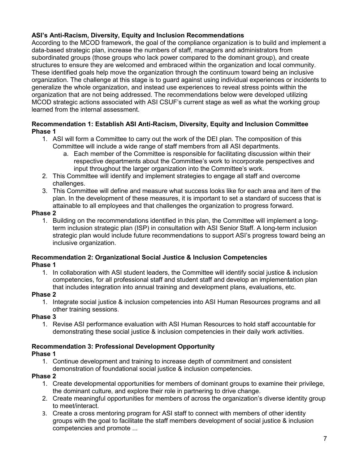# **ASI's Anti-Racism, Diversity, Equity and Inclusion Recommendations**

According to the MCOD framework, the goal of the compliance organization is to build and implement a data-based strategic plan, increase the numbers of staff, managers and administrators from subordinated groups (those groups who lack power compared to the dominant group), and create structures to ensure they are welcomed and embraced within the organization and local community. These identified goals help move the organization through the continuum toward being an inclusive organization. The challenge at this stage is to guard against using individual experiences or incidents to generalize the whole organization, and instead use experiences to reveal stress points within the organization that are not being addressed. The recommendations below were developed utilizing MCOD strategic actions associated with ASI CSUF's current stage as well as what the working group learned from the internal assessment.

## **Recommendation 1: Establish ASI Anti-Racism, Diversity, Equity and Inclusion Committee Phase 1**

- 1. ASI will form a Committee to carry out the work of the DEI plan. The composition of this Committee will include a wide range of staff members from all ASI departments.
	- a. Each member of the Committee is responsible for facilitating discussion within their respective departments about the Committee's work to incorporate perspectives and input throughout the larger organization into the Committee's work.
- 2. This Committee will identify and implement strategies to engage all staff and overcome challenges.
- 3. This Committee will define and measure what success looks like for each area and item of the plan. In the development of these measures, it is important to set a standard of success that is attainable to all employees and that challenges the organization to progress forward.

#### **Phase 2**

1. Building on the recommendations identified in this plan, the Committee will implement a longterm inclusion strategic plan (ISP) in consultation with ASI Senior Staff. A long-term inclusion strategic plan would include future recommendations to support ASI's progress toward being an inclusive organization.

# **Recommendation 2: Organizational Social Justice & Inclusion Competencies**

#### **Phase 1**

1. In collaboration with ASI student leaders, the Committee will identify social justice & inclusion competencies, for all professional staff and student staff and develop an implementation plan that includes integration into annual training and development plans, evaluations, etc.

## **Phase 2**

1. Integrate social justice & inclusion competencies into ASI Human Resources programs and all other training sessions.

## **Phase 3**

1. Revise ASI performance evaluation with ASI Human Resources to hold staff accountable for demonstrating these social justice & inclusion competencies in their daily work activities.

# **Recommendation 3: Professional Development Opportunity**

## **Phase 1**

1. Continue development and training to increase depth of commitment and consistent demonstration of foundational social justice & inclusion competencies.

## **Phase 2**

- 1. Create developmental opportunities for members of dominant groups to examine their privilege, the dominant culture, and explore their role in partnering to drive change.
- 2. Create meaningful opportunities for members of across the organization's diverse identity group to meet/interact.
- 3. Create a cross mentoring program for ASI staff to connect with members of other identity groups with the goal to facilitate the staff members development of social justice & inclusion competencies and promote ...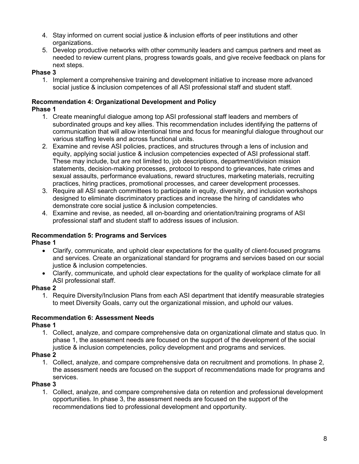- 4. Stay informed on current social justice & inclusion efforts of peer institutions and other organizations.
- 5. Develop productive networks with other community leaders and campus partners and meet as needed to review current plans, progress towards goals, and give receive feedback on plans for next steps.

## **Phase 3**

1. Implement a comprehensive training and development initiative to increase more advanced social justice & inclusion competences of all ASI professional staff and student staff.

#### **Recommendation 4: Organizational Development and Policy Phase 1**

- 1. Create meaningful dialogue among top ASI professional staff leaders and members of subordinated groups and key allies. This recommendation includes identifying the patterns of communication that will allow intentional time and focus for meaningful dialogue throughout our various staffing levels and across functional units.
- 2. Examine and revise ASI policies, practices, and structures through a lens of inclusion and equity, applying social justice & inclusion competencies expected of ASI professional staff. These may include, but are not limited to, job descriptions, department/division mission statements, decision-making processes, protocol to respond to grievances, hate crimes and sexual assaults, performance evaluations, reward structures, marketing materials, recruiting practices, hiring practices, promotional processes, and career development processes.
- 3. Require all ASI search committees to participate in equity, diversity, and inclusion workshops designed to eliminate discriminatory practices and increase the hiring of candidates who demonstrate core social justice & inclusion competencies.
- 4. Examine and revise, as needed, all on-boarding and orientation/training programs of ASI professional staff and student staff to address issues of inclusion.

# **Recommendation 5: Programs and Services**

## **Phase 1**

- Clarify, communicate, and uphold clear expectations for the quality of client-focused programs and services. Create an organizational standard for programs and services based on our social justice & inclusion competencies.
- Clarify, communicate, and uphold clear expectations for the quality of workplace climate for all ASI professional staff.

## **Phase 2**

1. Require Diversity/Inclusion Plans from each ASI department that identify measurable strategies to meet Diversity Goals, carry out the organizational mission, and uphold our values.

## **Recommendation 6: Assessment Needs**

## **Phase 1**

1. Collect, analyze, and compare comprehensive data on organizational climate and status quo. In phase 1, the assessment needs are focused on the support of the development of the social justice & inclusion competencies, policy development and programs and services.

# **Phase 2**

1. Collect, analyze, and compare comprehensive data on recruitment and promotions. In phase 2, the assessment needs are focused on the support of recommendations made for programs and services.

## **Phase 3**

1. Collect, analyze, and compare comprehensive data on retention and professional development opportunities. In phase 3, the assessment needs are focused on the support of the recommendations tied to professional development and opportunity.